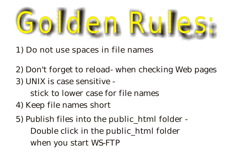

- 1) Do not use spaces in file names
- 2) Don't forget to reload- when checking Web pages
- 3) UNIX is case sensitive
	- stick to lower case for file names
- 4 ) Keep file names short
- 5) Publish files into the public\_html folder Double click in the public\_html folder when you start WS-FTP